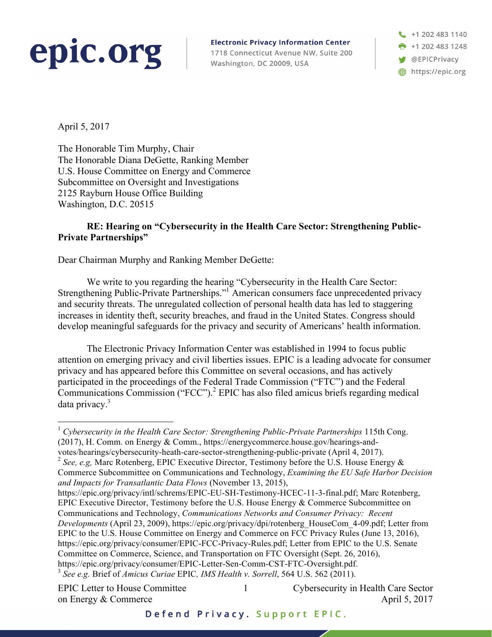## epic.org

**Electronic Privacy Information Center** 1718 Connecticut Avenue NW, Suite 200 Washington, DC 20009, USA

+1 202 483 1140 ➡ +1 202 483 1248 **W** @EPICPrivacy https://epic.org

April 5, 2017

The Honorable Tim Murphy, Chair The Honorable Diana DeGette, Ranking Member U.S. House Committee on Energy and Commerce Subcommittee on Oversight and Investigations 2125 Rayburn House Office Building Washington, D.C. 20515

## **RE: Hearing on "Cybersecurity in the Health Care Sector: Strengthening Public-Private Partnerships"**

Dear Chairman Murphy and Ranking Member DeGette:

We write to you regarding the hearing "Cybersecurity in the Health Care Sector: Strengthening Public-Private Partnerships."1 American consumers face unprecedented privacy and security threats. The unregulated collection of personal health data has led to staggering increases in identity theft, security breaches, and fraud in the United States. Congress should develop meaningful safeguards for the privacy and security of Americans' health information.

The Electronic Privacy Information Center was established in 1994 to focus public attention on emerging privacy and civil liberties issues. EPIC is a leading advocate for consumer privacy and has appeared before this Committee on several occasions, and has actively participated in the proceedings of the Federal Trade Commission ("FTC") and the Federal Communications Commission ("FCC").<sup>2</sup> EPIC has also filed amicus briefs regarding medical data privacy.<sup>3</sup>

<sup>2</sup> *See, e.g,* Marc Rotenberg, EPIC Executive Director, Testimony before the U.S. House Energy & Commerce Subcommittee on Communications and Technology, *Examining the EU Safe Harbor Decision and Impacts for Transatlantic Data Flows* (November 13, 2015),

https://epic.org/privacy/intl/schrems/EPIC-EU-SH-Testimony-HCEC-11-3-final.pdf; Marc Rotenberg, EPIC Executive Director, Testimony before the U.S. House Energy & Commerce Subcommittee on Communications and Technology, *Communications Networks and Consumer Privacy: Recent Developments* (April 23, 2009), https://epic.org/privacy/dpi/rotenberg\_HouseCom\_4-09.pdf; Letter from EPIC to the U.S. House Committee on Energy and Commerce on FCC Privacy Rules (June 13, 2016), https://epic.org/privacy/consumer/EPIC-FCC-Privacy-Rules.pdf; Letter from EPIC to the U.S. Senate Committee on Commerce, Science, and Transportation on FTC Oversight (Sept. 26, 2016), https://epic.org/privacy/consumer/EPIC-Letter-Sen-Comm-CST-FTC-Oversight.pdf. 3 *See e.g.* Brief of *Amicus Curiae* EPIC*, IMS Health v. Sorrell*, <sup>564</sup> U.S. <sup>562</sup> (2011).

on Energy & Commerce April 5, 2017

1

 <sup>1</sup> *Cybersecurity in the Health Care Sector: Strengthening Public-Private Partnerships* 115th Cong. (2017), H. Comm. on Energy & Comm., https://energycommerce.house.gov/hearings-andvotes/hearings/cybersecurity-heath-care-sector-strengthening-public-private (April 4, 2017).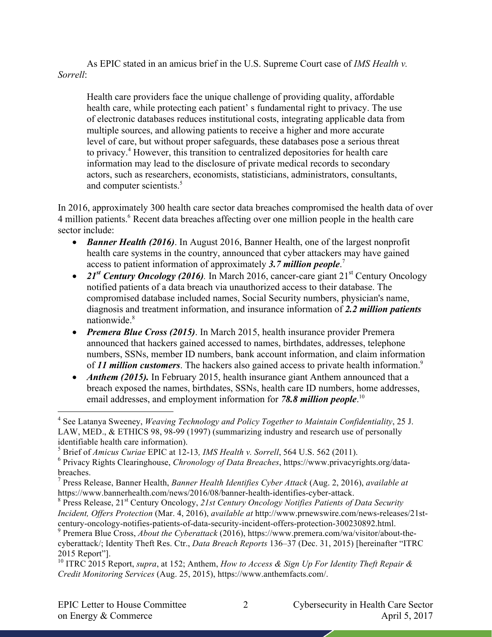As EPIC stated in an amicus brief in the U.S. Supreme Court case of *IMS Health v. Sorrell*:

Health care providers face the unique challenge of providing quality, affordable health care, while protecting each patient' s fundamental right to privacy. The use of electronic databases reduces institutional costs, integrating applicable data from multiple sources, and allowing patients to receive a higher and more accurate level of care, but without proper safeguards, these databases pose a serious threat to privacy.4 However, this transition to centralized depositories for health care information may lead to the disclosure of private medical records to secondary actors, such as researchers, economists, statisticians, administrators, consultants, and computer scientists.<sup>5</sup>

In 2016, approximately 300 health care sector data breaches compromised the health data of over 4 million patients.<sup>6</sup> Recent data breaches affecting over one million people in the health care sector include:

- *Banner Health (2016)*. In August 2016, Banner Health, one of the largest nonprofit health care systems in the country, announced that cyber attackers may have gained access to patient information of approximately *3.7 million people*. 7
- 21<sup>st</sup> *Century Oncology (2016)*. In March 2016, cancer-care giant 21<sup>st</sup> Century Oncology notified patients of a data breach via unauthorized access to their database. The compromised database included names, Social Security numbers, physician's name, diagnosis and treatment information, and insurance information of *2.2 million patients* nationwide<sup>8</sup>
- *Premera Blue Cross (2015)*. In March 2015, health insurance provider Premera announced that hackers gained accessed to names, birthdates, addresses, telephone numbers, SSNs, member ID numbers, bank account information, and claim information of *11 million customers*. The hackers also gained access to private health information.9
- *Anthem (2015)*. In February 2015, health insurance giant Anthem announced that a breach exposed the names, birthdates, SSNs, health care ID numbers, home addresses, email addresses, and employment information for *78.8 million people*. 10

*Incident, Offers Protection* (Mar. 4, 2016), *available at* http://www.prnewswire.com/news-releases/21st-

 <sup>4</sup> See Latanya Sweeney, *Weaving Technology and Policy Together to Maintain Confidentiality*, <sup>25</sup> J. LAW, MED., & ETHICS 98, 98-99 (1997) (summarizing industry and research use of personally identifiable health care information).

<sup>5</sup> Brief of *Amicus Curiae* EPIC at 12-13*, IMS Health v. Sorrell*, 564 U.S. 562 (2011).

<sup>6</sup> Privacy Rights Clearinghouse, *Chronology of Data Breaches*, https://www.privacyrights.org/databreaches. <sup>7</sup> Press Release, Banner Health, *Banner Health Identifies Cyber Attack* (Aug. 2, 2016), *available at*

https://www.bannerhealth.com/news/2016/08/banner-health-identifies-cyber-attack.<br><sup>8</sup> Press Release, 21<sup>st</sup> Century Oncology, 21st Century Oncology Notifies Patients of Data Security

<sup>&</sup>lt;sup>9</sup> Premera Blue Cross, *About the Cyberattack* (2016), https://www.premera.com/wa/visitor/about-thecyberattack/; Identity Theft Res. Ctr., *Data Breach Reports* 136–37 (Dec. 31, 2015) [hereinafter "ITRC 2015 Report"].

<sup>10</sup> ITRC 2015 Report, *supra*, at 152; Anthem, *How to Access & Sign Up For Identity Theft Repair & Credit Monitoring Services* (Aug. 25, 2015), https://www.anthemfacts.com/.